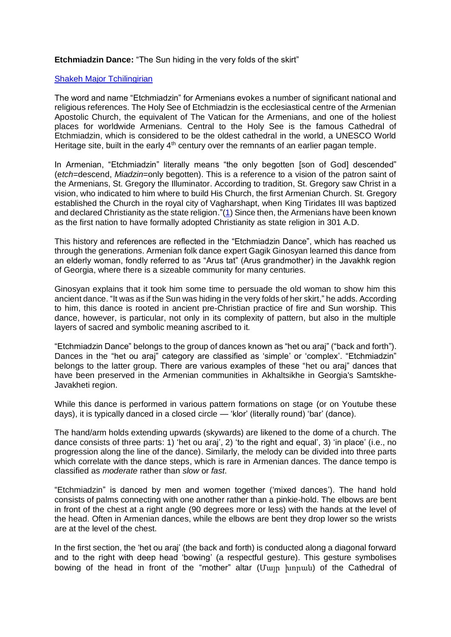**Etchmiadzin Dance:** "The Sun hiding in the very folds of the skirt"

## [Shakeh Major Tchilingirian](https://www.oxbridgepartners.com/shakeh/index.php/biography)

The word and name "Etchmiadzin" for Armenians evokes a number of significant national and religious references. The Holy See of Etchmiadzin is the ecclesiastical centre of the Armenian Apostolic Church, the equivalent of The Vatican for the Armenians, and one of the holiest places for worldwide Armenians. Central to the Holy See is the famous Cathedral of Etchmiadzin, which is considered to be the oldest cathedral in the world, a UNESCO World Heritage site, built in the early  $4<sup>th</sup>$  century over the remnants of an earlier pagan temple.

In Armenian, "Etchmiadzin" literally means "the only begotten [son of God] descended" (e*tch*=descend, *Miadzin*=only begotten). This is a reference to a vision of the patron saint of the Armenians, St. Gregory the Illuminator. According to tradition, St. Gregory saw Christ in a vision, who indicated to him where to build His Church, the first Armenian Church. St. Gregory established the Church in the royal city of Vagharshapt, when King Tiridates III was baptized and declared Christianity as the state religion."[\(1\)](https://oxbridgepartners.com/hratch/images/pdf/TchilingirianHratch_ArmenianChurchIntroduction_2008.pdf) Since then, the Armenians have been known as the first nation to have formally adopted Christianity as state religion in 301 A.D.

This history and references are reflected in the "Etchmiadzin Dance", which has reached us through the generations. Armenian folk dance expert Gagik Ginosyan learned this dance from an elderly woman, fondly referred to as "Arus tat" (Arus grandmother) in the Javakhk region of Georgia, where there is a sizeable community for many centuries.

Ginosyan explains that it took him some time to persuade the old woman to show him this ancient dance. "It was as if the Sun was hiding in the very folds of her skirt," he adds. According to him, this dance is rooted in ancient pre-Christian practice of fire and Sun worship. This dance, however, is particular, not only in its complexity of pattern, but also in the multiple layers of sacred and symbolic meaning ascribed to it.

"Etchmiadzin Dance" belongs to the group of dances known as "het ou araj" ("back and forth"). Dances in the "het ou araj" category are classified as 'simple' or 'complex'. "Etchmiadzin" belongs to the latter group. There are various examples of these "het ou araj" dances that have been preserved in the Armenian communities in Akhaltsikhe in Georgia's Samtskhe-Javakheti region.

While this dance is performed in various pattern formations on stage (or on Youtube these days), it is typically danced in a closed circle — 'klor' (literally round) 'bar' (dance).

The hand/arm holds extending upwards (skywards) are likened to the dome of a church. The dance consists of three parts: 1) 'het ou araj', 2) 'to the right and equal', 3) 'in place' (i.e., no progression along the line of the dance). Similarly, the melody can be divided into three parts which correlate with the dance steps, which is rare in Armenian dances. The dance tempo is classified as *moderate* rather than *slow* or *fast*.

"Etchmiadzin" is danced by men and women together ('mixed dances'). The hand hold consists of palms connecting with one another rather than a pinkie-hold. The elbows are bent in front of the chest at a right angle (90 degrees more or less) with the hands at the level of the head. Often in Armenian dances, while the elbows are bent they drop lower so the wrists are at the level of the chest.

In the first section, the 'het ou araj' (the back and forth) is conducted along a diagonal forward and to the right with deep head 'bowing' (a respectful gesture). This gesture symbolises bowing of the head in front of the "mother" altar (Մայր խորան) of the Cathedral of